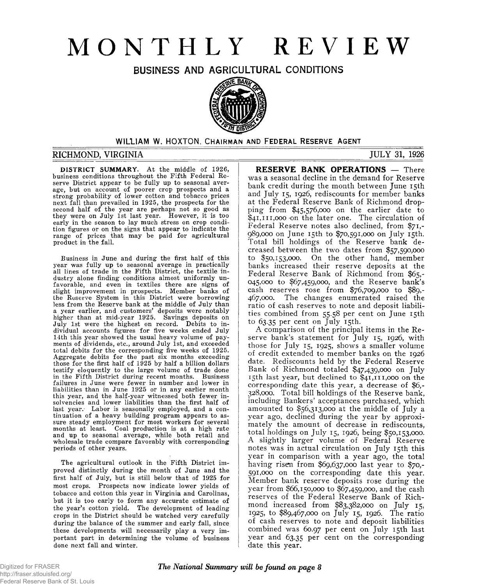# **MONTHLY REVIEW**

BUSINESS AND AGRICULTURAL CONDITIONS



# WILLIAM W. HOXTON, CHAIRMAN AND FEDERAL RESERVE AGENT

# **RICHMOND, VIRGINIA JULY 31, 1926**

**DISTRICT SUMMARY.** At the middle of 1926, business conditions throughout the Fifth Federal Reserve District appear to be fully up to seasonal average, but on account of poorer crop prospects and a strong probability of lower cotton and tobacco prices next fall than prevailed in 1925, the prospects for the second half of the year are perhaps not so good as they were on July 1st last year. However, it is too early in the season to lay much stress on crop condition figures or on the signs that appear to indicate the range of prices that may be paid for agricultural product in the fall.

Business in June and during the first half of this year was fully up to seasonal average in practically all lines of trade in the Fifth District, the textile industry alone finding conditions almost uniformly unfavorable, and even in textiles there are signs of slight improvement in prospects. Member banks of the Reserve System in this District were borrowing less from the Reserve bank at the middle of July than a year earlier, and customers' deposits were notably higher than at mid-year 1925. Savings deposits on July 1st were the highest on record. Debits to individual accounts figures for five weeks ended July 14th this year showed the usual heavy volume of payments of dividends, etc., around July 1st, and exceeded total debits for the corresponding five weeks of 1925. Aggregate debits for the past six months exceeding those for the first half of 1925 by half a billion dollars testify eloquently to the large volume of trade done in the Fifth District during recent months. Business failures in June were fewer in number and lower in liabilities than in June 1925 or in any earlier month this year, and the half-year witnessed both fewer insolvencies and lower liabilities than the first half of last year. Labor is seasonally employed, and a continuation of a heavy building program appears to assure steady employment for most workers for several months at least. Coal production is at a high rate and up to seasonal average, while both retail and wholesale trade compare favorably with corresponding periods of other years.

The agricultural outlook in the Fifth District improved distinctly during the month of June and the first half of July, but is still below that of 1925 for most crops. Prospects now indicate lower yields of tobacco and cotton this year in Virginia and Carolinas, but it is too early to form any accurate estimate of the year's cotton yield. The development of leading crops in the District should be watched very carefully during the balance of the summer and early fall, since these developments will necessarily play a very important part in determining the volume of business done next fall and winter.

**RESERVE BANK OPERATIONS** — There was a seasonal decline in the demand for Reserve bank credit during the month between June 15th and July 15, 1926, rediscounts for member banks at the Federal Reserve Bank of Richmond dropping from \$45,576,000 on the earlier date to  $$41,111,000$  on the later one. The circulation of Federal Reserve notes also declined, from \$71,- 989.000 on June 15th to \$70,591,000 on July 15th. Total bill holdings of the Reserve bank decreased between the two dates from \$57,590,000 to \$50,153,000. On the other hand, member banks increased their reserve deposits at the Federal Reserve Bank of Richmond from \$65,- 045.000 to \$67,459,000, and the Reserve bank's cash reserves rose from \$76,709,000 to \$89,- 467.000. The changes enumerated raised the ratio of cash reserves to note and deposit liabilities combined from 55.58 per cent on June 15th to  $63.35$  per cent on July 15th.

A comparison of the principal items in the Reserve bank's statement for July 15, 1926, with those for July 15, 1925, shows a smaller volume of credit extended to member banks on the 1926 date. Rediscounts held by the Federal Reserve Bank of Richmond totaled \$47,439,000 on July 15th last year, but declined to \$41,111,000 on the corresponding date this year, a decrease of \$6,- 328.000. Total bill holdings of the Reserve bank, including Bankers' acceptances purchased, which amounted to \$56,313,000 at the middle of July a year ago, declined during the year by approximately the amount of decrease in rediscounts, total holdings on July 15, 1926, being \$50,153,000. A slightly larger volume of Federal Reserve notes was in actual circulation on July 15th this year in comparison with a year ago, the total having risen from \$69,637,000 last year to \$70,- 591.000 on the corresponding date this year. Member bank reserve deposits rose during the year from \$66,150,000 to \$67,459,000, and the cash reserves of the Federal Reserve Bank of Richmond increased from \$83,382,000 on July 15, 1925, to \$89,467,000 on July 15, 1926. The ratio of cash reserves to note and deposit liabilities combined was 60.97 per cent on July 15th last year and 63.35 per cent on the corresponding date this year.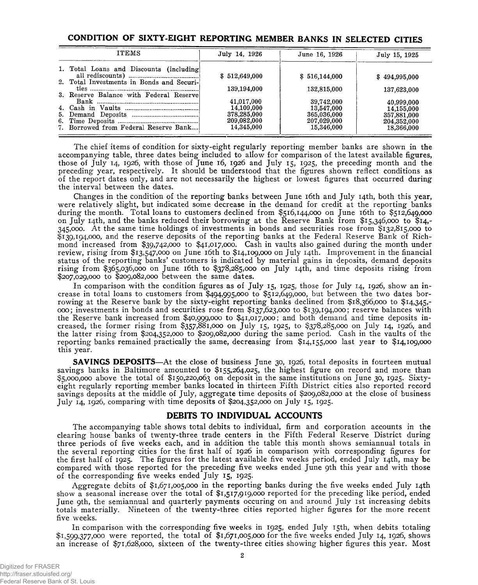# **CONDITION OF SIXTY-EIGHT REPORTING MEMBER BANKS IN SELECTED CITIES**

| <b>ITEMS</b>                              | July 14, 1926                            | June 16, 1926                            | July 15, 1925                            |  |
|-------------------------------------------|------------------------------------------|------------------------------------------|------------------------------------------|--|
| 1. Total Loans and Discounts (including)  | \$512,649,000                            | \$516,144,000                            | \$494,995,000                            |  |
| 2. Total Investments in Bonds and Securi- | 139,194,000                              | 132,815,000                              | 137,623,000                              |  |
| 3. Reserve Balance with Federal Reserve   | 41,017,000                               | 39,742,000                               | 40,999,000                               |  |
|                                           | 14.109,000<br>378,285,000<br>209,082,000 | 13,547,000<br>365,036,000<br>207,029,000 | 14,155,000<br>357,881,000<br>204,352,000 |  |
| 7. Borrowed from Federal Reserve Bank     | 14,345,000                               | 15.346,000                               | 18,366,000                               |  |

The chief items of condition for sixty-eight regularly reporting member banks are shown in the accompanying table, three dates being included to allow for comparison of the latest available figures, those of July 14, 1926, with those of June 16, 1926 and July 15, 1925, the preceding month and the preceding year, respectively. It should be understood that the figures shown reflect conditions as of the report dates only, and are not necessarily the highest or lowest figures that occurred during the interval between the dates.

Changes in the condition of the reporting banks between June 16th and July 14th, both this year, were relatively slight, but indicated some decrease in the demand for credit at the reporting banks during the month. Total loans to customers declined from \$516,144,000 on June 16th to \$512,649,000 on July 14th, and the banks reduced their borrowing at the Reserve Bank from \$15,346,000 to \$14,- 345,000. At the same time holdings of investments in bonds and securities rose from \$132,815,000 to \$139,194,000, and the reserve deposits of the reporting banks at the Federal Reserve Bank of Richmond increased from \$39,742,000 to \$41,017,000. Cash in vaults also gained during the month under review, rising from \$13,547,000 on June 16th to \$14,109,000 on July 14th. Improvement in the financial status of the reporting banks' customers is indicated by material gains in deposits, demand deposits rising from \$365,036,000 on June 16th to \$378,285,000 on July 14th, and time deposits rising from \$207,029,000 to \$209,082,000 between the same dates.

In comparison with the condition figures as of July 15, 1925, those for July 14, 1926, show an increase in total loans to customers from \$494,995,000 to \$512,649,000, but between the two dates borrowing at the Reserve bank by the sixty-eight reporting banks declined from \$18,366,000 to \$14,345,- 000; investments in bonds and securities rose from \$137,623,000 to \$139,194,000; reserve balances with the Reserve bank increased from \$40,999,000 to \$41,017,000; and both demand and time deposits increased, the former rising from \$357,881,000 on July 15, 1925, to \$378,285,000 on July 14, 1926, and the latter rising from \$204,352,000 to \$209,082,000 during the same period. Cash in the vaults of the reporting banks remained practically the same, decreasing from \$14,155,000 last year to \$14,109,000 this year.

**SAVINGS DEPOSITS**—At the close of business June 30, 1926, total deposits in fourteen mutual savings banks in Baltimore amounted to \$155,264,025, the highest figure on record and more than \$5,000,000 above the total of \$150,220,063 on deposit in the same institutions on June 30, 1925. Sixtyeight regularly reporting member banks located in thirteen Fifth District cities also reported record savings deposits at the middle of July, aggregate time deposits of \$209,082,000 at the close of business July 14, 1926, comparing with time deposits of \$204,352,000 on July 15, 1925.

# **DEBITS TO INDIVIDUAL ACCOUNTS**

The accompanying table shows total debits to individual, firm and corporation accounts in the clearing house banks of twenty-three trade centers in the Fifth Federal Reserve District during three periods of five weeks each, and in addition the table this month shows semiannual totals in the several reporting cities for the first half of 1926 in comparison with corresponding figures for the first half of 1925. The figures for the latest available five weeks period, ended July 14th, may be compared with those reported for the preceding five weeks ended June 9th this year and with those of the corresponding five weeks ended July 15, 1925.

Aggregate debits of \$1,671,005,000 in the reporting banks during the five weeks ended July 14th show a seasonal increase over the total of \$1,517,919,000 reported for the preceding like period, ended June 9th, the semiannual and quarterly payments occuring on and around July 1st increasing debits totals materially. Nineteen of the twenty-three cities reported higher figures for the more recent five weeks.

In comparison with the corresponding five weeks in 1925, ended July 15th, when debits totaling \$1,599,377,ooo were reported, the total of \$1,671,005,000 for the five weeks ended July 14, 1926, shows an increase of \$71,628,000, sixteen of the twenty-three cities showing higher figures this year. Most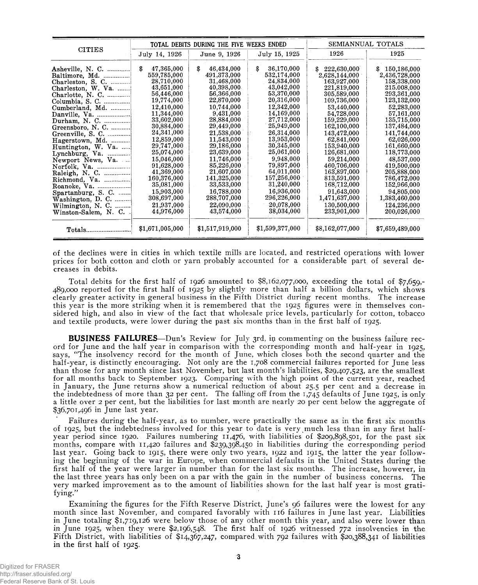|                           |                  | TOTAL DEBITS DURING THE FIVE WEEKS ENDED |                  | SEMIANNUAL TOTALS |                   |  |
|---------------------------|------------------|------------------------------------------|------------------|-------------------|-------------------|--|
| <b>CITIES</b>             | July 14, 1926    | June 9, 1926                             | July 15, 1925    | 1926              | 1925              |  |
|                           | \$<br>47,365,000 | 46,434,000<br>\$                         | 36,170,000<br>\$ | 222,630,000<br>S. | 150,186,000<br>\$ |  |
| Baltimore, Md.            | 559,785,000      | 491,373,000                              | 532,174,000      | 2,628,144,000     | 2,436,728,000     |  |
| Charleston, S. C. $\dots$ | 28,710,000       | 31,468,000                               | 24.834.000       | 163,927,000       | 158,338,000       |  |
| Charleston, W. Va.        | 43,651,000       | 40,398,000                               | 43,042,000       | 221,819,000       | 215.008,000       |  |
|                           | 56,446,000       | 56,366,000                               | 53,370,000       | 305,589,000       | 293,361,000       |  |
| Columbia, S. C.           | 19,774,000       | 22,870,000                               | 20,316,000       | 109,736,000       | 123,132,000       |  |
| Cumberland, Md.           | 12,410,000       | 10,744,000                               | 12,342,000       | 53,440,000        | 52,283,000        |  |
| Danville, Va.             | 11,344,000       | 9,431,000                                | 14,169,000       | 54,728,000        | 57,161,000        |  |
| Durham, N. C.             | 33,602,000       | 28,884,000                               | 27,712,000       | 159,229,000       | 135,715,000       |  |
| Greensboro, N. C.         | 30,884,000       | 29,449,000                               | 25,949,000       | 162,100,000       | 137,484,000       |  |
| Greenville, S. C.         | 24,341,000       | 21,538,000                               | 26,314,000       | 143,472,000       | 141,744,000       |  |
| Hagerstown, Md.           | 12,859,000       | 11,543,000                               | 13,953,000       | 62.841.000        | 62,026,000        |  |
| Huntington, W. Va.        | 29,747,000       | 29,186,000                               | 30,345,000       | 153,940,000       | 161,660,000       |  |
| Lynchburg, $Va$ .         | 25,074,000       | 23,639,000                               | 25,061,000       | 126,681,000       | 118,773,000       |  |
| Newport News, Va.         | 15,046,000       | 11,746,000                               | 9.948,000        | 59,214,000        | 48,537,000        |  |
| Norfolk, Va.              | 91,628,000       | 85,226,000                               | 79,897,000       | 460.706,000       | 419,500,000       |  |
| Raleigh, N. C.            | 41,369,000       | 21,607,000                               | 64.011,000       | 163,897,000       | 205,888,000       |  |
| Richmond, Va.             | 160,376,000      | 141,325,000                              | 157,256,000      | 813,591,000       | 786,472,000       |  |
| Roanoke, Va.              | 35,081,000       | 33,533,000                               | 31,240,000       | 168,712,000       | 152,966,000       |  |
| Spartanburg, S. C.        | 15,903,000       | 16,788,000                               | 16,936,000       | 91,643,000        | 94,805,000        |  |
| Washington, D. C.         | 308,697,000      | 288,707,000                              | 296,226,000      | 1,471,637,000     | 1,383,460,000     |  |
| Wilmington, N. C.         | 21,937,000       | 22,090,000                               | 20,078,000       | 130,500,000       | 124,236,000       |  |
| Winston-Salem, N. C.      | 44,976,000       | 43,574,000                               | 38,034,000       | 233,901,000       | 200,026,000       |  |
| Totals                    | \$1,671,005,000  | \$1,517,919,000                          | \$1,599,377,000  | \$8,162,077,000   | \$7,659,489,000   |  |

of the declines were in cities in which textile mills are located, and restricted operations with lower prices for both cotton and cloth or yarn probably accounted for a considerable part of several decreases in debits.

Total debits for the first half of 1926 amounted to \$8,162,077,000, exceeding the total of \$7,659,- 489,000 reported for the first half of 1925 by slightly more than half a billion dollars, which shows clearly greater activity in general business in the Fifth District during recent months. The increase this year is the more striking when it is remembered that the 1925 figures were in themselves considered high, and also in view of the fact that wholesale price levels, particularly for cotton, tobacco and textile products, were lower during the past six months than in the first half of 1925.

**BUSINESS FAILURES**—Dun's Review for July 3rd, in commenting on the business failure record for June and the half year in comparison with the corresponding month and half-year in 1925, says, "The insolvency record for the month of June, which closes both the second quarter and the half-year, is distinctly encouraging. Not only are the 1,708 commercial failures reported for June less than those for any month since last November, but last month's liabilities, \$29,407,523, are the smallest for all months back to September 1923. Comparing with the high point of the current year, reached in January, the June returns show a numerical reduction of about 25.5 per cent and a decrease in the indebtedness of more than 32 per cent. The falling off from the 1,745 defaults of June 1925, is only a little over 2 per cent, but the liabilities for last month are nearly 20 per cent below the aggregate of \$36,701,496 in June last year.

Failures during the half-year, as to number, were practically the same as in the first six months of 1925, but the indebtedness involved for this year to date is very much less than in any first halfyear period since 1920. Failures numbering 11,476, with liabilities of \$209,898,501, for the past six months, compare with 11,420 failures and \$239,398,450 in liabilities during the corresponding period last year. Going back to 1915, there were only two years, 1922 and 1915, the latter the year following the beginning of the war in Europe, when commercial defaults in the United States during the first half of the year were larger in number than for the last six months. The increase, however, in the last three years has only been on a par with the gain in the number of business concerns. The very marked improvement as to the amount of liabilities shown for the last half year is most gratifying."

Examining the figures for the Fifth Reserve District, June's 96 failures were the lowest for any month since last November, and compared favorably with 116 failures in June last year. Liabilities in June totaling \$1,719,126 were below those of any other month this year, and also were lower than in June 1925, when they were \$2,196,548. The first half of 1926 witnessed 772 insolvencies in the Fifth District, with liabilities of \$14,367,247, compared, with 792 failures with \$20,388,341 of liabilities in the first half of 1925.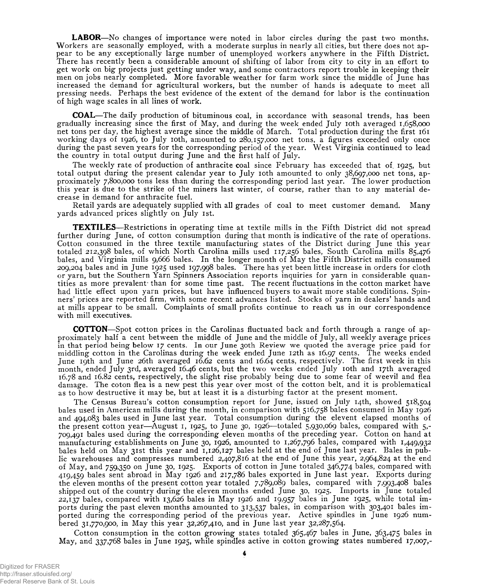**LABOR**—No changes of importance were noted in labor circles during the past two months. Workers are seasonally employed, with a moderate surplus in nearly all cities, but there does not appear to be any exceptionally large number of unemployed workers anywhere in the Fifth District. There has recently been a considerable amount of shifting of labor from city to city in an effort to get work on big projects just getting under way, and some contractors report trouble in keeping their men on jobs nearly completed. More favorable weather for farm work since the middle of June has increased the demand for agricultural workers, but the number of hands is adequate to meet all pressing needs. Perhaps the best evidence of the extent of the demand for labor is the continuation of high wage scales in all lines of work.

**COAL**— The daily production of bituminous coal, in accordance with seasonal trends, has been gradually increasing since the first of May, and during the week ended July ioth averaged 1,658,000 net tons per day, the highest average since the middle of March. Total production during the first 161 working days of 1926, to July ioth, amounted to 280,157,000 net tons, a figures exceeded only once during the past seven years for the corresponding period of the year. West Virginia continued to lead the country in total output during June and the first half of July.

The weekly rate of production of anthracite coal since February has exceeded that of 1925, but total output during the present calendar year to July ioth amounted to only 38,697,000 net tons, approximately 7,800,000 tons less than during the corresponding period last year. The lower production this year is due to the strike of the miners last winter, of course, rather than to any material decrease in demand for anthracite fuel.

Retail yards are adequately supplied with all grades of coal to meet customer demand. Many yards advanced prices slightly on July 1st.

**TEXTILES**— Restrictions in operating time at textile mills in the Fifth District did not spread further during June, of cotton consumption during that month is indicative of the rate of operations. Cotton consumed in the three textile manufacturing states of the District during June this year totaled 212,398 bales, of which North Carolina mills used 117,256 bales, South Carolina mills 85,476 bales, and Virginia mills 9,666 bales. In the longer month of May the Fifth District mills consumed 209,204 bales and in June 1925 used 197,998 bales. There has yet been little increase in orders for cloth or yarn, but the Southern Yarn Spinners Association reports inquiries for yarn in considerable quantities as more prevalent than for some time past. The recent fluctuations in the cotton market have had little effect upon yarn prices, but have influenced buyers to await more stable conditions. Spinners' prices are reported firm, with some recent advances listed. Stocks of yarn in dealers' hands and at mills appear to be small. Complaints of small profits continue to reach us in our correspondence with mill executives.

**COTTON**— Spot cotton prices in the Carolinas fluctuated back and forth through a range of approximately half a cent between the middle of June and the middle of July, all weekly average prices in that period being below 17 cents. In our June 30th Review we quoted the average price paid for middling cotton in the Carolinas during the week ended June 12th as 16.97 cents. The weeks ended June 19th and June 26th averaged 16.62 cents and 16.64 cents, respectively. The first week in this month, ended July 3rd, averaged 16.46 cents, but the two weeks ended July ioth and 17th averaged 16.78 and 16.82 cents, respectively, the slight rise probably being due to some fear of weevil and flea damage. The coton flea is a new pest this year over most of the cotton belt, and it is problematical as to how destructive it may be, but at least it is a disturbing factor at the present moment.

The Census Bureau's cotton consumption report for June, issued on July 14th, showed 518,504 bales used in American mills during the month, in comparison with 516,758 bales consumed in May 1926 and 494,083 bales used in June last year. Total consumption during the elevent elapsed months of the present cotton year— August 1, 1925, to June 30, 1926— totaled 5,930,069 bales, compared with 5,- 709,491 bales used during the corresponding eleven months of the preceding year. Cotton on hand at manufacturing establishments on June 30, 1926, amounted to 1,267,796 bales, compared with 1,449,932 bales held on May 31st this year and 1,126,127 bales held at the end of June last year. Bales in public warehouses and compresses numbered 2,407,816 at the end of June this year, 2,964,824 at the end of May, and 759,350 on June 30, 1925. Exports of cotton in June totaled 346,774 bales, compared with 419,459 bales sent abroad in May 1926 and 217,786 bales exported in June last year. Exports during the eleven months of the present cotton year totaled 7,789,089 bales, compared with 7,993,408 bales shipped out of the country during the eleven months ended June 30, 1925. Imports in June totaled 22,137 bales, compared with 13,626 bales in May 1926 and 19,957 bales in June 1925, while total imports during the past eleven months amounted to 313,537 bales, in comparison with 303,401 bales imported during the corresponding period of the previous year. Active spindles in June 1926 numbered 31,770,900, in May this year 32,267,410, and in June last year 32,287,564.

Cotton consumption in the cotton growing states totaled 365,467 bales in June, 363,475 bales in May, and 337,768 bales in June 1925, while spindles active in cotton growing states numbered 17,007,-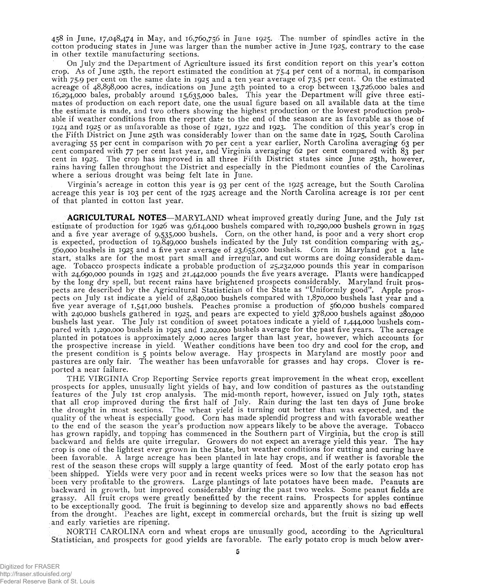458 in June, 17,048,474 in May, and 16,760,756 in June 1925, The; number of spindles active in the cotton producing states in June was larger than the number active in June 1925, contrary to the case in other textile manufacturing sections.

On July 2nd the Department of Agriculture issued its first condition report on this year's cotton crop. As of June 25th, the report estimated the condition at 75.4 pef cent of a normal, in comparison with 75.9 per cent on the same date in 1925 and a ten year average of 73.5 per cent. On the estimated acreage of 48,898,000 acres, indications on June 25th pointed to a crop between 13,726,000 bales and 16.294.000 bales, probably around 15,635,000 bales. This year the Department will give three estimates of production on each report date, one the usual figure based on all available data at the time the estimate is made, and two others showing the highest production or the lowest production probable if weather conditions from the report date to the end of the season are as favorable as those of 1924 and 1925 or as unfavorable as those of 1921, 1922 and 1923. The condition of this year's crop in the Fifth District on June 25th was considerably lower than on the same date in 1925, South Carolina averaging 55 per cent in comparison with 70 per cent a year earlier, North Carolina averaging 63 per cent compared with 77 per cent last year, and Virginia averaging 62 per cent compared with 83 per cent in 1925. The crop has improved in all three Fifth District states since June 25th, however, rains having fallen throughout the District and especially in the Piedmont counties of the Carolinas where a serious drought was being felt late in June.

Virginia's acreage in cotton this year is 93 per cent of the 1925 acreage, but the South Carolina acreage this year is 103 per cent of the 1925 acreage and the North Carolina acreage is 101 per cent of that planted in cotton last year.

**AGRICULTURAL NOTES**—MARYLAND wheat improved greatly during June, and the July 1st estimate of production for 1926 was 9,614,000 bushels compared with 10,290,000 bushels grown in 1925 and a five year average of 9,535,000 bushels, Corn, on the other hand, is poor and a very short crop is expected, production of 19,849,000 bushels indicated by the July 1st condition comparing with  $25$ -560.000 bushels in 1925 and a five year average of 23,655,000 bushels. Corn in Maryland got a late start, stalks are for the most part small and irregular, and cut worms are doing considerable damage. Tobacco prospects indicate a probable production of 25,232,000 pounds this year in comparison with 24,690,000 pounds in 1925 and 21,442,000 pounds the five years average. Plants were handicapped by the long dry spell, but recent rains have brightened prospects considerably, Maryland fruit prospects are described by the Agricultural Statistician of the State as "Uniformly good". Apple prospects on July 1st indicate a yield of 2,840,000 bushels compared with 1,870,000 bushels last year and a five year average of 1,541,000 bushels. Peaches promise a production of 560,000 bushels compared with 240,000 bushels gathered in 1925, and pears are expected to yield 378,000 bushels against 280,000 bushels last year. The July 1st condition of sweet potatoes indicate a yield of 1,444,000 bushels compared with 1,290,000 bushels in 1925 and 1,202,000 bushels average for the past five years. The acreage planted in potatoes is approximately 2,000 acres larger than last year, however, which accounts for the prospective increase in yield. Weather conditions have been too dry and cool for the crop, and the present condition is 5 points below average. Hay prospects in Maryland are mostly poor and pastures are only fair. The weather has been unfavorable for grasses and hay crops, Clover is reported a near failure.

THE VIRGINIA Crop Reporting Service reports great improvement in the wheat crop, excellent prospects for apples, unusually light yields of hay, and low condition of pastures as the outstanding features of the July 1st crop analysis. The mid-month report, however, issued on July 19th, states that all crop improved during the first half of July. Rain during the last ten days of June broke the drought in most sections. The wheat yield is turning out better than was expected, and the quality of the wheat is especially good. Corn has made splendid progress and with favorable weather to the end of the season the year's production now appears likely to be above the average. Tobacco has grown rapidly, and topping has commenced in the Southern part of Virginia, but the crop is still backward and fields are quite irregular. Growers do not expect an average yield this year. The hay crop is one of the lightest ever grown in the State, but weather conditions for cutting and curing have been favorable. A large acreage has been planted in late hay crops, and if weather is favorable the rest of the season these crops will supply a large quantity of feed. Most of the early potato crop has been shipped. Yields were very poor and in recent weeks prices were so low that the season has not been very profitable to the growers. Large plantings of late potatoes have been made. Peanuts are backward in growth, but improved considerably during the past two weeks. Some peanut fields are grassy. All fruit crops were greatly benefitted by the recent rains. Prospects for apples continue to be exceptionally good. The fruit is beginning to develop size and apparently shows no bad effects from the drought. Peaches are light, except in commercial orchards, but the fruit is sizing up well and early, varieties are ripening.

NORTH CAROLINA corn and wheat crops are unusually good, according to the Agricultural Statistician, and prospects for good yields are favorable. The early potato crop is much below aver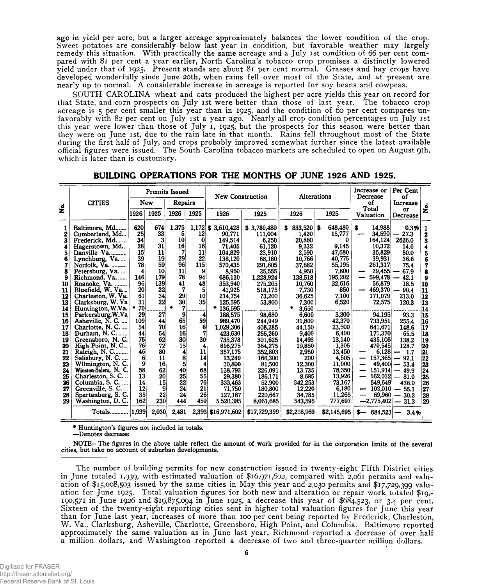age in yield per acre, but a larger acreage approximately balances the lower condition of the crop. Sweet potatoes are considerably below last year in condition, but favorable weather may largely remedy this situation. With practically the same acreage and a July ist condition of 66 per cent compared with 81 per cent a year earlier, North Carolina's tobacco crop promises a distinctly lowered yield under that of 1925. Present stands are about 81 per cent normal. Grasses and hay crops have developed wonderfully since June 20th, when rains fell over most of the State, and at present are nearly up to normal. A considerable increase in acreage is reported for soy beans and cowpeas.

SOUTH CAROLINA wheat and oats produced the highest per acre yields this year on record for that State, and corn prospects on July ist were better than those of last year. The tobacco crop acreage is 5 per cent smaller this year than in 1925, and the condition of 60 per cent compares unfavorably with 82 per cent on July ist a year ago. Nearly all crop condition percentages on July ist this year were lower than those of July 1, 1925, but the prospects for this season were better than they were on June ist, due to the rain late in that month. Rains fell throughout most of the State during the first half of July, and crops probably improved somewhat further since the latest available official figures were issued. The South Carolina tobacco markets are scheduled to open on August 9th. which is later than is customary.

|          |                                        |                       | <b>Premits Issued</b> |                 |           | New Construction               |                        |                       | Alterations       | Per Cent<br>Increase or<br>Decrease<br>of |                                  |                                                                  |
|----------|----------------------------------------|-----------------------|-----------------------|-----------------|-----------|--------------------------------|------------------------|-----------------------|-------------------|-------------------------------------------|----------------------------------|------------------------------------------------------------------|
| ż        | <b>CITIES</b>                          |                       | Repairs<br>New        |                 |           |                                | of<br>Total            | Increase              | ż                 |                                           |                                  |                                                                  |
|          |                                        | 1926                  | 1925                  | 1926            | 1925      | 1926                           | 1925                   | 1926                  | 1925              | <b>Valuation</b>                          | or<br>Decrease                   |                                                                  |
| 2        | Baltimore, Md<br>Cumberland, Md        | 620<br>25             | 674<br>33             | 1.375<br>5      | 12        | $1,172$ \$ 3,610,428<br>90.771 | \$3,780,480<br>111,004 | $833,520$ \$<br>1,420 | 648,480<br>15,777 | 14,988<br>s<br>34,590                     | 0.3%<br>27.3                     | 1                                                                |
| 3        | Frederick, Md                          | 34                    | 3                     | 10 <sup>1</sup> | 0         | 149.514                        | 6.250                  | 20,860                | $\bf{0}$          | 164.124                                   | 2626.0                           | 2                                                                |
| 4        | Hagerstown, Md                         | 28                    | 31                    | 16              | 16        | 71,405                         | 61,120                 | 9,232                 | 9.145             | 10,372                                    | 14.0                             | 3<br>$\overline{\mathbf{4}}$                                     |
| 5        | Danville Va                            | 15                    | 11                    | 7               | 11        | 104,829                        | 23,910                 | 2,590                 | 47,680            | 35,829                                    | 50.0                             |                                                                  |
| 6        | Lynchburg, Va                          | 39                    | 19                    | 29              | 22        | 138,120                        | 68,180                 | 10,766                | 40,775            | 39,931                                    | 36.6                             | $\frac{5}{6}$                                                    |
| 7        | Norfolk, Va.                           | 78                    | 59                    | 96              | 115       | 570,435                        | 291,605                | 37,682                | 55,195            | 261,317                                   | 75.4                             | 7                                                                |
| 8        | Petersburg, Va.                        | 4                     | 10                    | 11              | 9         | 8,950                          | 35,555                 | 4,950                 | 7,800             | $29,455$ —                                | 67.9                             | 8                                                                |
| 9        | Richmond, Va.                          | 146                   | 179                   | 78              | 94        | 686,130                        | 1,228,924              | 138,518               | 195,202           | 599,478<br>—                              | $-42.1$                          | 9                                                                |
| 10       | Roanoke, Va.                           | 96                    | 139                   | 41              | 48        | 353,940                        | 275,205                | 10,760                | 32,616            | 56,879                                    | 18.5                             | 10                                                               |
| 11       | Bluefield, W. Va                       | 20                    | 22                    | 7               | 5         | 41,925                         | 518,175                | 7,730                 | 850               | 469,370                                   | $-90.4$                          | 11                                                               |
| 12       | Charleston, W. Va.                     | 61                    | 34                    | 29              | 10        | 214,754                        | 73.200                 | 36.625                | 7.100             | 171,079                                   | 213.0                            | 12                                                               |
| 13       | Clarksburg, W. Va                      | 31                    | 22                    | 30              | 35        | 125,595                        | 53,800                 | 7.300                 | 6,520             | 72,575                                    | 120.3                            | 13                                                               |
| 14       | Huntington, W.Va.                      | 70                    |                       | $\bullet$<br>7  |           | 136,595<br>۰                   |                        | 3,650                 |                   |                                           |                                  | 14                                                               |
| 15       | Parkersburg, W.Va                      | 29                    | 27                    | 9               | 4         | 188.575                        | 98.680                 | 6.600                 | 3.300             | 94.195                                    | 93.3                             | 15                                                               |
| 16       | Asheville, N. C.                       | 109                   | 44                    | 65              | 59        | 989,470                        | 244.949                | 31,800                | 42,370            | 733,951                                   | 255.4                            | 16                                                               |
| 17       | Charlotte, N. C.                       | 54                    | 70                    | <b>16</b>       | 6         | 1.029.306                      | 408,285                | 44,150                | 23,500            | 641,671                                   | 148.6                            | 117                                                              |
| 18       | Durham, N. C.                          | 44                    | 54                    | 16              |           | 423.630                        | 255,260                | 9,400                 | 6,400             | 171,370                                   | 65.5                             | 18                                                               |
| 19       | Greensboro, N.C.                       | 75                    | 62                    | 30 <sup>1</sup> | 30        | 735,378                        | 301,625                | 14.493                | 13.140            | 435,106                                   | 138.2                            | 19                                                               |
| 20       | High Point, N.C                        | 76                    | 72                    | 15 <sup>5</sup> | 4         | 816,275                        | 364,275                | 19,850                | 1,305             | 470,545                                   | 128.7                            | 20                                                               |
| 21       | Raleigh, N. C                          | 46                    | 80                    | 4               | 11        | 357,175                        | 352,803                | 2,950                 | 13,450            | 6.128                                     | 1.7<br>$\overline{\phantom{a}}$  | 21                                                               |
| 22       | Salisbury, N. C                        | 6                     | 11                    | 8               | 14        | 13,240                         | 166,300                | 200                   | 4,505             | 157,365                                   | 92.1<br>$\overline{\phantom{0}}$ | 22                                                               |
| 23       | Wilmington, N.C.                       | 9                     | 16                    | 5 <sup>1</sup>  | 4         | 30,800                         | 81,500                 | 12,300                | 11,000            | 49,400                                    | 53.4<br>$\overline{\phantom{0}}$ | $\begin{array}{c} \n \overline{\mathbf{23}} \\ 24\n \end{array}$ |
| 24       | Winston-Salem, N. C.                   | 58                    | 62                    | 40              | 68        | 138,792                        | 226,091                | 13.735                | 78,350            | 151,914                                   | $-49.9$                          |                                                                  |
| 25       | Charleston, S. C.                      | 13                    | 20                    | 25              | 55        | 29,380                         | 186,171                | 8,685                 | 13,926            | 162,032                                   | $-81.0$                          | 25                                                               |
| 26       | Columbia, S. C.                        | 14                    | 15                    | 22              | 76        | 333,463                        | 52.900                 | 342,253               | 73.167            | 549,649                                   | 436.0                            | 26                                                               |
| 27       | Greenville, S. C                       | 12<br>35 <sub>5</sub> | 9                     | 24              | 21        | 71.750                         | 180,800                | 12,220                | 6.180             | 103,010<br>$\overline{\phantom{a}}$       | $-55.1$                          | 27                                                               |
| 28<br>29 | Spartanburg, S. C.<br>Washington, D.C. | 162                   | 22<br>230 I           | 24<br>444       | 26<br>459 | 127,187                        | 220,667                | 34.785                | 11.265<br>777.697 | 69,960<br>$-2,775,402$                    | 30.2                             | 28                                                               |
|          |                                        |                       |                       |                 |           | 5,520,385                      | 8.061.685              | 543,595               |                   |                                           | $-31.3$                          | 29                                                               |
|          | Totals   1,939                         |                       | 2,030                 | 2,481           |           | 2,393 \$16,971,602             | \$17,729,399           | \$2,218,969           | \$2,145,695       | $$ - 684,523$                             | 3.4%                             |                                                                  |

| BUILDING OPERATIONS FOR THE MONTHS OF JUNE 1926 AND 1925. |  |  |  |  |
|-----------------------------------------------------------|--|--|--|--|
|                                                           |  |  |  |  |

**\* Huntington's figures not included in totals.**

**—Denotes decrease**

**NOTE- The figures in the above table reflect the amount of work provided for in the corporation limits of the several cities, but take no account of suburban developments.**

The number of building permits for new construction issued in twenty-eight Fifth District cities in June totaled 1,939, with estimated valuation of \$16,971,602, compared with 2,061 permits and valuation of \$15,008,503 issued by the same cities in May this year and 2,030 permits and \$17,729,399 valuation for June 1925. Total valuation figures for both new and alteration or repair work totaled \$19,- 190,571 in June 1926 and \$19,875,094 in June 1925, a decrease this year of \$684,523, or 3.4 per cent. Sixteen of the twenty-eight reporting cities sent in higher total valuation figures for June this year than for June last year, increases of more than 100 per cent being reported by Frederick, Charleston, W. Va., Clarksburg, Asheville, Charlotte, Greensboro, High Point, and Columbia. Baltimore reported approximately the same valuation as in June last year, Richmond reported a decrease of over half a million dollars, and Washington reported a decrease of two and three-quarter million dollars.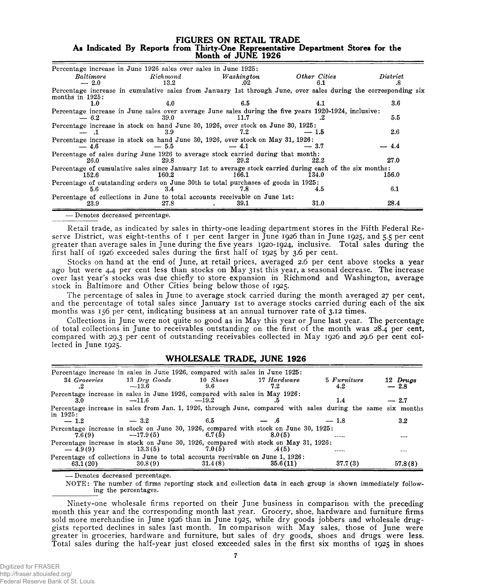#### **FIGURES ON RETAIL TRADE As Indicated By Reports from Thirty-One Representative Department Stores for the** Month of JUNE 1926

| Percentage increase in June 1926 sales over sales in June 1925:<br>Baltimore                                                         | Richard | Washington | Other Cities | District |
|--------------------------------------------------------------------------------------------------------------------------------------|---------|------------|--------------|----------|
| $-2.0$                                                                                                                               | 13.2    | .02        | 6.1          | .х       |
| Percentage increase in cumulative sales from January 1st through June, over sales during the corresponding six<br>months in $1925$ : |         |            |              |          |
| 1.0                                                                                                                                  | 4.0     | 6.5        | 4.1          | $3.6\,$  |
| Percentage increase in June sales over average June sales during the five years 1920-1924, inclusive:                                |         |            |              |          |
| $-6.2$                                                                                                                               | 39.0    | 11.7       |              | 5.5      |
| Percentage increase in stock on hand June 30, 1926, over stock on June 30, 1925:                                                     |         |            |              |          |
|                                                                                                                                      | 3.9     | 7.2        | -- 1.5       | $2.6\,$  |
| Percentage increase in stock on hand June 30, 1926, over stock on May 31, 1926:                                                      |         |            |              |          |
| $-4.6$                                                                                                                               | $-5.5$  | $-4.1$     | $-~3.7$      | $-4.4$   |
| Percentage of sales during June 1926 to average stock carried during that month:                                                     |         |            |              |          |
| 26.0                                                                                                                                 | 29.8    | 29.2       | 22.2         | 27.0     |
| Percentage of cumulative sales since January 1st to average stock carried during each of the six months:                             |         |            |              |          |
| 152.6                                                                                                                                | 160.2   | 166.1      | 134.0        | 156.0    |
| Percentage of outstanding orders on June 30th to total purchases of goods in 1925:                                                   |         |            |              |          |
| 5.6                                                                                                                                  | 3.4     | 7.8        | 4.5          | 6.1      |
| Percentage of collections in June to total accounts receivable on June 1st:                                                          |         |            |              |          |
| 23.9                                                                                                                                 | 27.8    | 39.1       | 31.0         | 28.4     |
| Departed to the contract of the contract of                                                                                          |         |            |              |          |

— Denotes decreased percentage.

Retail trade, as indicated by sales in thirty-one leading department stores in the Fifth Federal Reserve District, was eight-tenths of I per cent larger in June 1926 than in June 1925, and 5.5 per cent greater than average sales in June during the five years 1920-1924, inclusive. Total sales during the first half of 1926 exceeded sales during the first half of 1925 by 3.6 per cent.

Stocks on hand at the end of June, at retail prices, averaged 2.6 per cent above stocks a year ago but were 4.4 per cent less than stocks on May 31st this year, a seasonal decrease. The increase over last year's stocks was due chiefly to store expansion in Richmond and Washington, average stock in Baltimore and Other Cities being below those of 1925.

The percentage of sales in June to average stock carried during the month averaged 27 per cent, and the percentage of total sales since January 1st to average stocks carried during each of the six months was 156 per cent, indicating business at an annual turnover rate of 3.12 times.

Collections in June were not quite so good as in May this year or June last year. The percentage of total collections in June to receivables outstanding on the first of the month was 28.4 per cent, compared with 29.3 per cent of outstanding receivables collected in May 1926 and 29.6 per cent collected in June 1925.

## WHOLESALE TRADE, JUNE 1926

|                    | Percentage increase in sales in June 1926, compared with sales in June 1925:                                 |                 |                    |                    |                    |
|--------------------|--------------------------------------------------------------------------------------------------------------|-----------------|--------------------|--------------------|--------------------|
| 34 Groceries<br>.2 | $13$ Dry Goods<br>$-13.6$                                                                                    | 10 Shoes<br>9.6 | 17 Hardware<br>7.2 | 5 Furniture<br>4.2 | 12 Drugs<br>$-2.8$ |
| 3.0                | Percentage increase in sales in June 1926, compared with sales in May 1926:<br>$-11.6$                       | $-19.2$         |                    | 1.4                | $-2.7$             |
| in $1925:$         | Percentage increase in sales from Jan. 1, 1926, through June, compared with sales during the same six months |                 |                    |                    |                    |
| $-1.2$             | $-3.2$                                                                                                       | 6.5             | $-$ .6             | $-1.8$             | $3.2^{\circ}$      |
| 7.6(9)             | Percentage increase in stock on June 30, 1926, compared with stock on June 30, 1925:<br>$-17.9(5)$           | 6.7(5)          | 8.0(5)             | ------             |                    |
| $-4.9(9)$          | Percentage increase in stock on June 30, 1926, compared with stock on May 31, 1926:<br>13.3(5)               | 7.0(5)          | .4 (5)             |                    | $1 - 1$            |
| 63.1(20)           | Percentage of collections in June to total accounts receivable on June 1, 1926:<br>30.8(9)                   | 31.4(8)         | 35.6(11)           | 37.7(3)            | 57.8(8)            |

— Denotes decreased percentage.

NOTE: The number of firms reporting stock and collection data in each group is shown immediately following the percentages.

Ninety-one wholesale firms reported on their June business in comparison with the preceding month this year and the corresponding month last year. Grocery, shoe, hardware and furniture firms sold more merchandise in June 1926 than in June 1925, while dry goods jobbers and wholesale druggists reported declines in sales last month. In comparison with May sales, those of June were greater in groceries, hardware and furniture, but sales of dry goods, shoes and drugs were less. Total sales during the half-year just closed exceeded sales in the first six months of 1925 in shoes